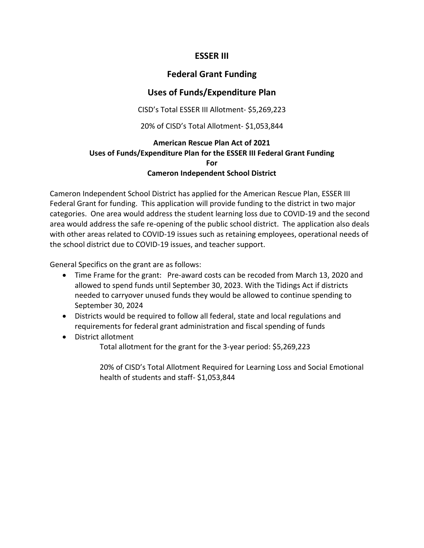## **ESSER III**

## **Federal Grant Funding**

# **Uses of Funds/Expenditure Plan**

CISD's Total ESSER III Allotment- \$5,269,223

20% of CISD's Total Allotment- \$1,053,844

#### **American Rescue Plan Act of 2021 Uses of Funds/Expenditure Plan for the ESSER III Federal Grant Funding For Cameron Independent School District**

Cameron Independent School District has applied for the American Rescue Plan, ESSER III Federal Grant for funding. This application will provide funding to the district in two major categories. One area would address the student learning loss due to COVID-19 and the second area would address the safe re-opening of the public school district. The application also deals with other areas related to COVID-19 issues such as retaining employees, operational needs of the school district due to COVID-19 issues, and teacher support.

General Specifics on the grant are as follows:

- Time Frame for the grant: Pre-award costs can be recoded from March 13, 2020 and allowed to spend funds until September 30, 2023. With the Tidings Act if districts needed to carryover unused funds they would be allowed to continue spending to September 30, 2024
- Districts would be required to follow all federal, state and local regulations and requirements for federal grant administration and fiscal spending of funds
- District allotment

Total allotment for the grant for the 3-year period: \$5,269,223

20% of CISD's Total Allotment Required for Learning Loss and Social Emotional health of students and staff- \$1,053,844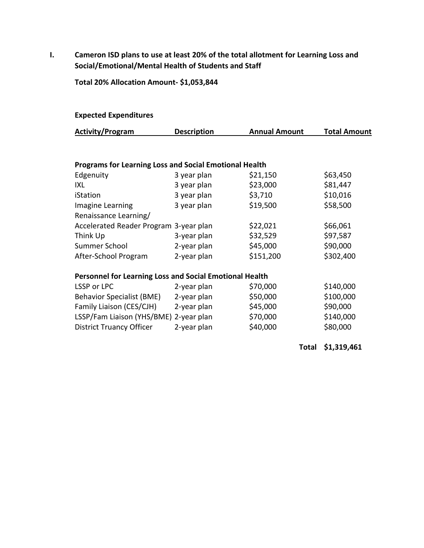**I. Cameron ISD plans to use at least 20% of the total allotment for Learning Loss and Social/Emotional/Mental Health of Students and Staff**

**Total 20% Allocation Amount- \$1,053,844**

#### **Expected Expenditures**

| <b>Activity/Program</b> | <b>Description</b> | <b>Annual Amount</b> | <b>Total Amount</b> |
|-------------------------|--------------------|----------------------|---------------------|
|                         |                    |                      |                     |

### **Programs for Learning Loss and Social Emotional Health**

| Edgenuity                              | 3 year plan | \$21,150  | \$63,450  |
|----------------------------------------|-------------|-----------|-----------|
| IXL                                    | 3 year plan | \$23,000  | \$81,447  |
| iStation                               | 3 year plan | \$3,710   | \$10,016  |
| Imagine Learning                       | 3 year plan | \$19,500  | \$58,500  |
| Renaissance Learning/                  |             |           |           |
| Accelerated Reader Program 3-year plan |             | \$22,021  | \$66,061  |
| Think Up                               | 3-year plan | \$32,529  | \$97,587  |
| Summer School                          | 2-year plan | \$45,000  | \$90,000  |
| After-School Program                   | 2-year plan | \$151,200 | \$302,400 |

## **Personnel for Learning Loss and Social Emotional Health**

| LSSP or LPC                            | 2-year plan | \$70,000 | \$140,000 |
|----------------------------------------|-------------|----------|-----------|
| <b>Behavior Specialist (BME)</b>       | 2-year plan | \$50,000 | \$100,000 |
| Family Liaison (CES/CJH)               | 2-year plan | \$45,000 | \$90,000  |
| LSSP/Fam Liaison (YHS/BME) 2-year plan |             | \$70,000 | \$140,000 |
| <b>District Truancy Officer</b>        | 2-year plan | \$40,000 | \$80,000  |

**Total \$1,319,461**